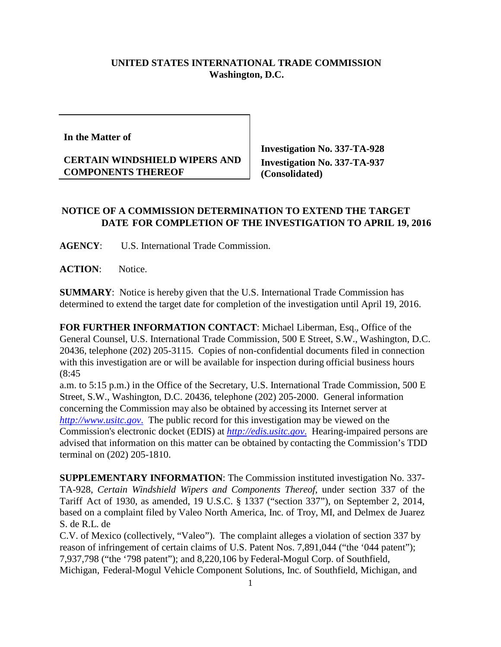## **UNITED STATES INTERNATIONAL TRADE COMMISSION Washington, D.C.**

**In the Matter of**

## **CERTAIN WINDSHIELD WIPERS AND COMPONENTS THEREOF**

**Investigation No. 337-TA-928 Investigation No. 337-TA-937 (Consolidated)** 

## **NOTICE OF A COMMISSION DETERMINATION TO EXTEND THE TARGET DATE FOR COMPLETION OF THE INVESTIGATION TO APRIL 19, 2016**

**AGENCY**: U.S. International Trade Commission.

ACTION: Notice.

**SUMMARY**: Notice is hereby given that the U.S. International Trade Commission has determined to extend the target date for completion of the investigation until April 19, 2016.

**FOR FURTHER INFORMATION CONTACT**: Michael Liberman, Esq., Office of the General Counsel, U.S. International Trade Commission, 500 E Street, S.W., Washington, D.C. 20436, telephone (202) 205-3115. Copies of non-confidential documents filed in connection with this investigation are or will be available for inspection during official business hours (8:45

a.m. to 5:15 p.m.) in the Office of the Secretary, U.S. International Trade Commission, 500 E Street, S.W., Washington, D.C. 20436, telephone (202) 205-2000. General information concerning the Commission may also be obtained by accessing its Internet server at *[http://www.usitc.gov](http://www.usitc.gov./)*. The public record for this investigation may be viewed on the Commission's electronic docket (EDIS) at *[http://edis.usitc.gov](http://edis.usitc.gov./)*. Hearing-impaired persons are advised that information on this matter can be obtained by contacting the Commission's TDD terminal on (202) 205-1810.

**SUPPLEMENTARY INFORMATION**: The Commission instituted investigation No. 337- TA-928, *Certain Windshield Wipers and Components Thereof*, under section 337 of the Tariff Act of 1930, as amended, 19 U.S.C. § 1337 ("section 337"), on September 2, 2014, based on a complaint filed by Valeo North America, Inc. of Troy, MI, and Delmex de Juarez S. de R.L. de

C.V. of Mexico (collectively, "Valeo"). The complaint alleges a violation of section 337 by reason of infringement of certain claims of U.S. Patent Nos. 7,891,044 ("the '044 patent"); 7,937,798 ("the '798 patent"); and 8,220,106 by Federal-Mogul Corp. of Southfield, Michigan, Federal-Mogul Vehicle Component Solutions, Inc. of Southfield, Michigan, and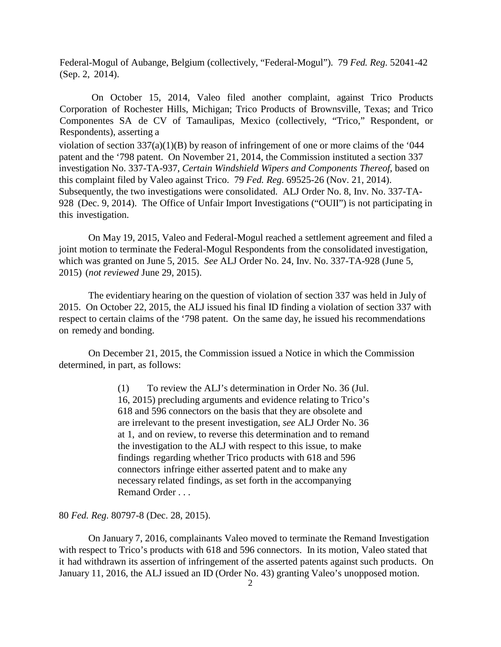Federal-Mogul of Aubange, Belgium (collectively, "Federal-Mogul"). 79 *Fed. Reg.* 52041-42 (Sep. 2, 2014).

On October 15, 2014, Valeo filed another complaint, against Trico Products Corporation of Rochester Hills, Michigan; Trico Products of Brownsville, Texas; and Trico Componentes SA de CV of Tamaulipas, Mexico (collectively, "Trico," Respondent, or Respondents), asserting a violation of section 337(a)(1)(B) by reason of infringement of one or more claims of the '044 patent and the '798 patent. On November 21, 2014, the Commission instituted a section 337 investigation No. 337-TA-937, *Certain Windshield Wipers and Components Thereof*, based on this complaint filed by Valeo against Trico. 79 *Fed. Reg.* 69525-26 (Nov. 21, 2014). Subsequently, the two investigations were consolidated. ALJ Order No. 8, Inv. No. 337-TA-928 (Dec. 9, 2014). The Office of Unfair Import Investigations ("OUII") is not participating in

On May 19, 2015, Valeo and Federal-Mogul reached a settlement agreement and filed a joint motion to terminate the Federal-Mogul Respondents from the consolidated investigation, which was granted on June 5, 2015. *See* ALJ Order No. 24, Inv. No. 337-TA-928 (June 5,

2015) (*not reviewed* June 29, 2015).

this investigation.

The evidentiary hearing on the question of violation of section 337 was held in July of 2015. On October 22, 2015, the ALJ issued his final ID finding a violation of section 337 with respect to certain claims of the '798 patent. On the same day, he issued his recommendations on remedy and bonding.

On December 21, 2015, the Commission issued a Notice in which the Commission determined, in part, as follows:

> (1) To review the ALJ's determination in Order No. 36 (Jul. 16, 2015) precluding arguments and evidence relating to Trico's 618 and 596 connectors on the basis that they are obsolete and are irrelevant to the present investigation, *see* ALJ Order No. 36 at 1, and on review, to reverse this determination and to remand the investigation to the ALJ with respect to this issue, to make findings regarding whether Trico products with 618 and 596 connectors infringe either asserted patent and to make any necessary related findings, as set forth in the accompanying Remand Order . . .

80 *Fed. Reg.* 80797-8 (Dec. 28, 2015).

On January 7, 2016, complainants Valeo moved to terminate the Remand Investigation with respect to Trico's products with 618 and 596 connectors. In its motion, Valeo stated that it had withdrawn its assertion of infringement of the asserted patents against such products. On January 11, 2016, the ALJ issued an ID (Order No. 43) granting Valeo's unopposed motion.